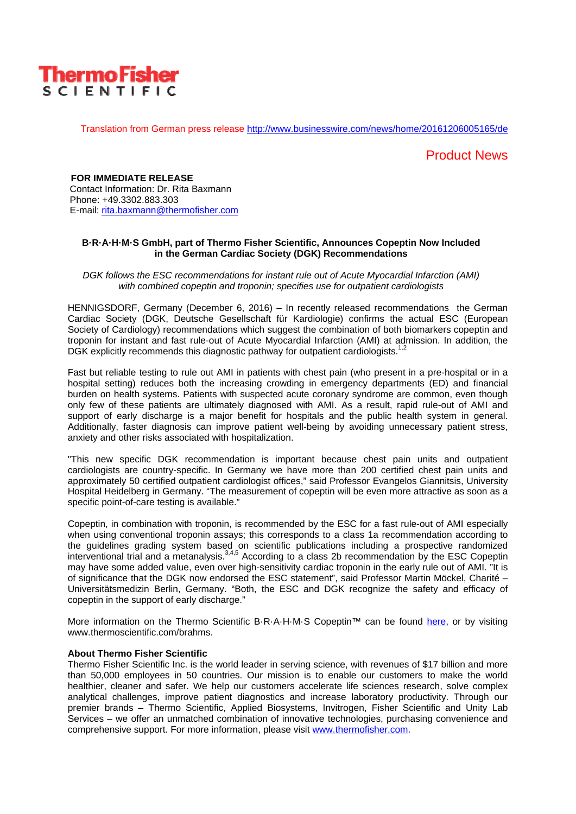

Translation from German press release http://www.businesswire.com/news/home/20161206005165/de

## Product News

**FOR IMMEDIATE RELEASE** Contact Information: Dr. Rita Baxmann Phone: +49.3302.883.303 E-mail: rita.baxmann@thermofisher.com

### **B·R·A·H·M·S GmbH, part of Thermo Fisher Scientific, Announces Copeptin Now Included in the German Cardiac Society (DGK) Recommendations**

*DGK follows the ESC recommendations for instant rule out of Acute Myocardial Infarction (AMI) with combined copeptin and troponin; specifies use for outpatient cardiologists* 

HENNIGSDORF, Germany (December 6, 2016) – In recently released recommendations the German Cardiac Society (DGK, Deutsche Gesellschaft für Kardiologie) confirms the actual ESC (European Society of Cardiology) recommendations which suggest the combination of both biomarkers copeptin and troponin for instant and fast rule-out of Acute Myocardial Infarction (AMI) at admission. In addition, the DGK explicitly recommends this diagnostic pathway for outpatient cardiologists.<sup>1,2</sup>

Fast but reliable testing to rule out AMI in patients with chest pain (who present in a pre-hospital or in a hospital setting) reduces both the increasing crowding in emergency departments (ED) and financial burden on health systems. Patients with suspected acute coronary syndrome are common, even though only few of these patients are ultimately diagnosed with AMI. As a result, rapid rule-out of AMI and support of early discharge is a major benefit for hospitals and the public health system in general. Additionally, faster diagnosis can improve patient well-being by avoiding unnecessary patient stress, anxiety and other risks associated with hospitalization.

"This new specific DGK recommendation is important because chest pain units and outpatient cardiologists are country-specific. In Germany we have more than 200 certified chest pain units and approximately 50 certified outpatient cardiologist offices," said Professor Evangelos Giannitsis, University Hospital Heidelberg in Germany. "The measurement of copeptin will be even more attractive as soon as a specific point-of-care testing is available."

Copeptin, in combination with troponin, is recommended by the ESC for a fast rule-out of AMI especially when using conventional troponin assays; this corresponds to a class 1a recommendation according to the guidelines grading system based on scientific publications including a prospective randomized interventional trial and a metanalysis.3,4,5 According to a class 2b recommendation by the ESC Copeptin may have some added value, even over high-sensitivity cardiac troponin in the early rule out of AMI. "It is of significance that the DGK now endorsed the ESC statement", said Professor Martin Möckel, Charité – Universitätsmedizin Berlin, Germany. "Both, the ESC and DGK recognize the safety and efficacy of copeptin in the support of early discharge."

More information on the Thermo Scientific B·R·A·H·M·S Copeptin™ can be found here, or by visiting www.thermoscientific.com/brahms.

#### **About Thermo Fisher Scientific**

Thermo Fisher Scientific Inc. is the world leader in serving science, with revenues of \$17 billion and more than 50,000 employees in 50 countries. Our mission is to enable our customers to make the world healthier, cleaner and safer. We help our customers accelerate life sciences research, solve complex analytical challenges, improve patient diagnostics and increase laboratory productivity. Through our premier brands – Thermo Scientific, Applied Biosystems, Invitrogen, Fisher Scientific and Unity Lab Services – we offer an unmatched combination of innovative technologies, purchasing convenience and comprehensive support. For more information, please visit www.thermofisher.com.